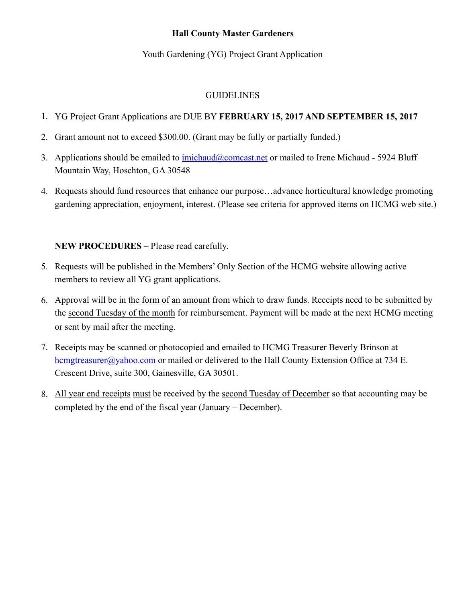## **Hall County Master Gardeners**

## Youth Gardening (YG) Project Grant Application

#### GUIDELINES

- 1. YG Project Grant Applications are DUE BY **FEBRUARY 15, 2017 AND SEPTEMBER 15, 2017**
- 2. Grant amount not to exceed \$300.00. (Grant may be fully or partially funded.)
- 3. Applications should be emailed to [imichaud@comcast.net](mailto:imichaud@comcast.net) or mailed to Irene Michaud 5924 Bluff Mountain Way, Hoschton, GA 30548
- 4. Requests should fund resources that enhance our purpose…advance horticultural knowledge promoting gardening appreciation, enjoyment, interest. (Please see criteria for approved items on HCMG web site.)

## **NEW PROCEDURES** – Please read carefully.

- 5. Requests will be published in the Members' Only Section of the HCMG website allowing active members to review all YG grant applications.
- 6. Approval will be in the form of an amount from which to draw funds. Receipts need to be submitted by the second Tuesday of the month for reimbursement. Payment will be made at the next HCMG meeting or sent by mail after the meeting.
- 7. Receipts may be scanned or photocopied and emailed to HCMG Treasurer Beverly Brinson at hemgtreasurer@yahoo.com or mailed or delivered to the Hall County Extension Office at 734 E. Crescent Drive, suite 300, Gainesville, GA 30501.
- 8. All year end receipts must be received by the second Tuesday of December so that accounting may be completed by the end of the fiscal year (January – December).